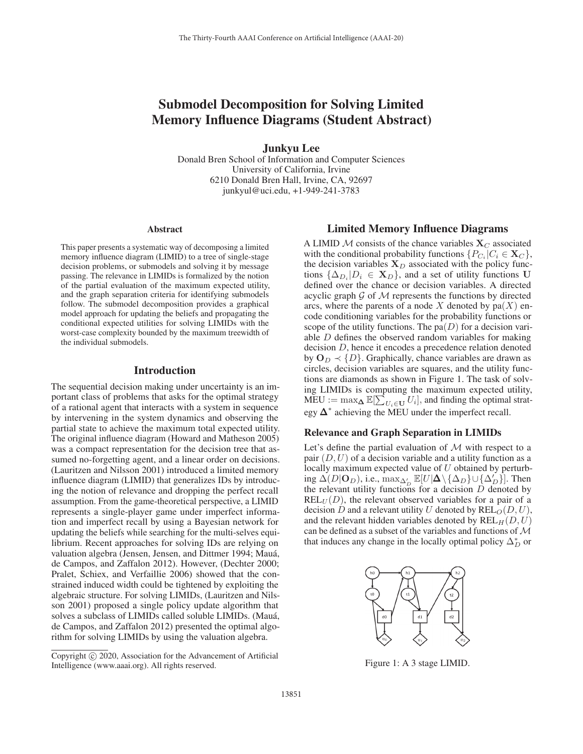# Submodel Decomposition for Solving Limited Memory Influence Diagrams (Student Abstract)

Junkyu Lee

Donald Bren School of Information and Computer Sciences University of California, Irvine 6210 Donald Bren Hall, Irvine, CA, 92697 junkyul@uci.edu, +1-949-241-3783

#### Abstract

This paper presents a systematic way of decomposing a limited memory influence diagram (LIMID) to a tree of single-stage decision problems, or submodels and solving it by message passing. The relevance in LIMIDs is formalized by the notion of the partial evaluation of the maximum expected utility, and the graph separation criteria for identifying submodels follow. The submodel decomposition provides a graphical model approach for updating the beliefs and propagating the conditional expected utilities for solving LIMIDs with the worst-case complexity bounded by the maximum treewidth of the individual submodels.

## Introduction

The sequential decision making under uncertainty is an important class of problems that asks for the optimal strategy of a rational agent that interacts with a system in sequence by intervening in the system dynamics and observing the partial state to achieve the maximum total expected utility. The original influence diagram (Howard and Matheson 2005) was a compact representation for the decision tree that assumed no-forgetting agent, and a linear order on decisions. (Lauritzen and Nilsson 2001) introduced a limited memory influence diagram (LIMID) that generalizes IDs by introducing the notion of relevance and dropping the perfect recall assumption. From the game-theoretical perspective, a LIMID represents a single-player game under imperfect information and imperfect recall by using a Bayesian network for updating the beliefs while searching for the multi-selves equilibrium. Recent approaches for solving IDs are relying on valuation algebra (Jensen, Jensen, and Dittmer 1994; Mauá, de Campos, and Zaffalon 2012). However, (Dechter 2000; Pralet, Schiex, and Verfaillie 2006) showed that the constrained induced width could be tightened by exploiting the algebraic structure. For solving LIMIDs, (Lauritzen and Nilsson 2001) proposed a single policy update algorithm that solves a subclass of LIMIDs called soluble LIMIDs. (Mauá, de Campos, and Zaffalon 2012) presented the optimal algorithm for solving LIMIDs by using the valuation algebra.

# Limited Memory Influence Diagrams

A LIMID M consists of the chance variables  $X_C$  associated with the conditional probability functions  $\{P_{C_i} | C_i \in \mathbf{X}_C\}$ , the decision variables  $X_D$  associated with the policy functions  $\{\Delta_{D_i} | D_i \in \mathbf{X}_D\}$ , and a set of utility functions **U** defined over the chance or decision variables. A directed acyclic graph  $\mathcal G$  of  $\mathcal M$  represents the functions by directed arcs, where the parents of a node X denoted by  $pa(X)$  encode conditioning variables for the probability functions or scope of the utility functions. The  $pa(D)$  for a decision variable D defines the observed random variables for making decision D, hence it encodes a precedence relation denoted by  $\mathbf{O}_D \prec \{D\}$ . Graphically, chance variables are drawn as circles, decision variables are squares, and the utility functions are diamonds as shown in Figure 1. The task of solving LIMIDs is computing the maximum expected utility,  $\text{MEU} := \max_{\Delta} \mathbb{E}[\sum_{U_i \in \mathbf{U}} U_i]$ , and finding the optimal strategy  $\Delta^*$  achieving the MEU under the imperfect recall.

#### Relevance and Graph Separation in LIMIDs

Let's define the partial evaluation of  $M$  with respect to a pair  $(D, U)$  of a decision variable and a utility function as a locally maximum expected value of  $U$  obtained by perturbing  $\Delta(D|\mathbf{O}_D)$ , i.e.,  $\max_{\Delta_D'} \mathbb{E}[U|\mathbf{\Delta}\setminus{\{\Delta_D\}}\cup{\{\Delta_D'\}}]$ . Then the relevant utility functions for a decision  $D$  denoted by  $REL_{U}(D)$ , the relevant observed variables for a pair of a decision D and a relevant utility U denoted by  $REL_O(D, U)$ , and the relevant hidden variables denoted by  $REL_H(D, U)$ can be defined as a subset of the variables and functions of  $\mathcal M$ that induces any change in the locally optimal policy  $\Delta_D^*$  or



Figure 1: A 3 stage LIMID.

Copyright  $\odot$  2020, Association for the Advancement of Artificial Intelligence (www.aaai.org). All rights reserved.